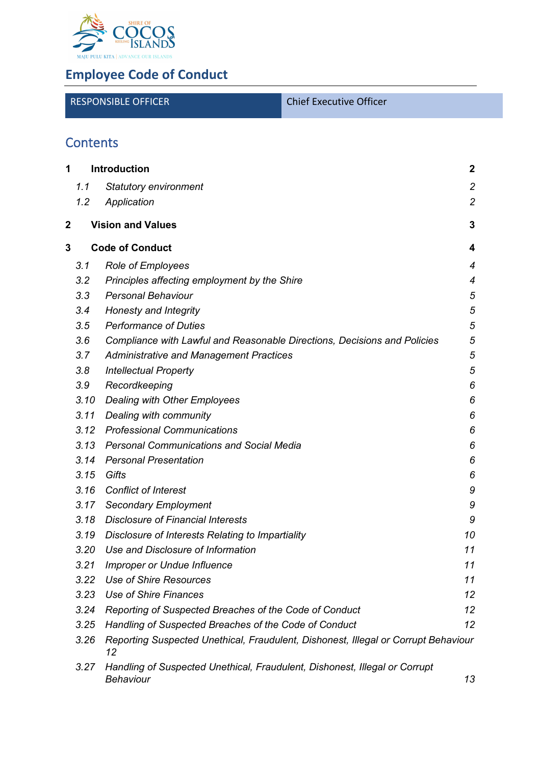

# **Employee Code of Conduct**

| <b>RESPONSIBLE OFFICER</b> | <b>Chief Executive Officer</b> |
|----------------------------|--------------------------------|
|                            |                                |

# **Contents**

| 1<br>Introduction |      |                                                                                          | $\boldsymbol{2}$ |
|-------------------|------|------------------------------------------------------------------------------------------|------------------|
|                   | 1.1  | <b>Statutory environment</b>                                                             | $\overline{c}$   |
|                   | 1.2  | Application                                                                              | $\overline{2}$   |
| 2                 |      | <b>Vision and Values</b>                                                                 | $\mathbf{3}$     |
| 3                 |      | <b>Code of Conduct</b>                                                                   | 4                |
|                   | 3.1  | <b>Role of Employees</b>                                                                 | 4                |
|                   | 3.2  | Principles affecting employment by the Shire                                             | 4                |
|                   | 3.3  | <b>Personal Behaviour</b>                                                                | 5                |
|                   | 3.4  | Honesty and Integrity                                                                    | 5                |
|                   | 3.5  | <b>Performance of Duties</b>                                                             | 5                |
|                   | 3.6  | Compliance with Lawful and Reasonable Directions, Decisions and Policies                 | 5                |
|                   | 3.7  | <b>Administrative and Management Practices</b>                                           | 5                |
|                   | 3.8  | <b>Intellectual Property</b>                                                             | 5                |
|                   | 3.9  | Recordkeeping                                                                            | 6                |
|                   | 3.10 | <b>Dealing with Other Employees</b>                                                      | 6                |
|                   | 3.11 | Dealing with community                                                                   | 6                |
|                   | 3.12 | <b>Professional Communications</b>                                                       | 6                |
|                   | 3.13 | <b>Personal Communications and Social Media</b>                                          | 6                |
|                   | 3.14 | <b>Personal Presentation</b>                                                             | 6                |
|                   | 3.15 | Gifts                                                                                    | 6                |
|                   | 3.16 | <b>Conflict of Interest</b>                                                              | 9                |
|                   | 3.17 | <b>Secondary Employment</b>                                                              | 9                |
|                   | 3.18 | <b>Disclosure of Financial Interests</b>                                                 | 9                |
|                   | 3.19 | Disclosure of Interests Relating to Impartiality                                         | 10               |
|                   | 3.20 | Use and Disclosure of Information                                                        | 11               |
|                   | 3.21 | <b>Improper or Undue Influence</b>                                                       | 11               |
|                   | 3.22 | <b>Use of Shire Resources</b>                                                            | 11               |
|                   | 3.23 | <b>Use of Shire Finances</b>                                                             | 12               |
|                   | 3.24 | Reporting of Suspected Breaches of the Code of Conduct                                   | 12               |
|                   | 3.25 | Handling of Suspected Breaches of the Code of Conduct                                    | 12               |
|                   | 3.26 | Reporting Suspected Unethical, Fraudulent, Dishonest, Illegal or Corrupt Behaviour<br>12 |                  |
|                   | 3.27 | Handling of Suspected Unethical, Fraudulent, Dishonest, Illegal or Corrupt<br>Behaviour  | 13               |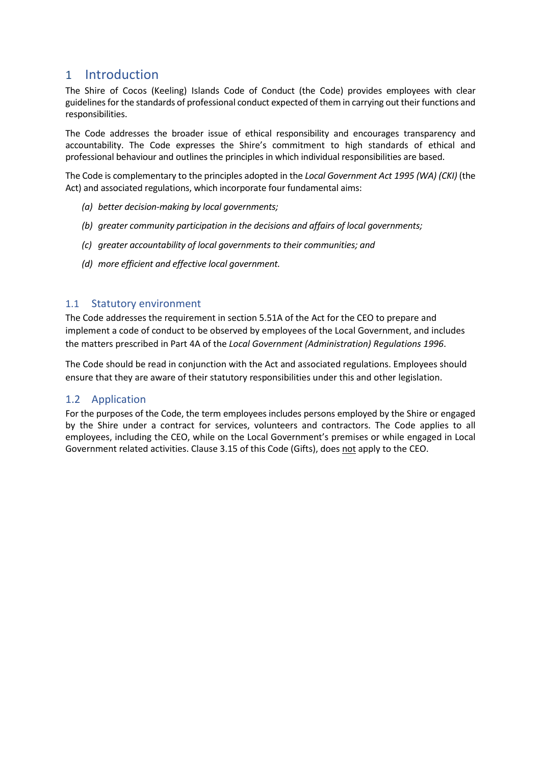## <span id="page-1-0"></span>1 Introduction

The Shire of Cocos (Keeling) Islands Code of Conduct (the Code) provides employees with clear guidelines for the standards of professional conduct expected of them in carrying out their functions and responsibilities.

The Code addresses the broader issue of ethical responsibility and encourages transparency and accountability. The Code expresses the Shire's commitment to high standards of ethical and professional behaviour and outlines the principles in which individual responsibilities are based.

The Code is complementary to the principles adopted in the *Local Government Act 1995 (WA) (CKI)* (the Act) and associated regulations, which incorporate four fundamental aims:

- *(a) better decision-making by local governments;*
- *(b) greater community participation in the decisions and affairs of local governments;*
- *(c) greater accountability of local governments to their communities; and*
- *(d) more efficient and effective local government.*

#### <span id="page-1-1"></span>1.1 Statutory environment

The Code addresses the requirement in section 5.51A of the Act for the CEO to prepare and implement a code of conduct to be observed by employees of the Local Government, and includes the matters prescribed in Part 4A of the *Local Government (Administration) Regulations 1996*.

The Code should be read in conjunction with the Act and associated regulations. Employees should ensure that they are aware of their statutory responsibilities under this and other legislation.

#### <span id="page-1-2"></span>1.2 Application

For the purposes of the Code, the term employees includes persons employed by the Shire or engaged by the Shire under a contract for services, volunteers and contractors. The Code applies to all employees, including the CEO, while on the Local Government's premises or while engaged in Local Government related activities. Clause 3.15 of this Code (Gifts), does not apply to the CEO.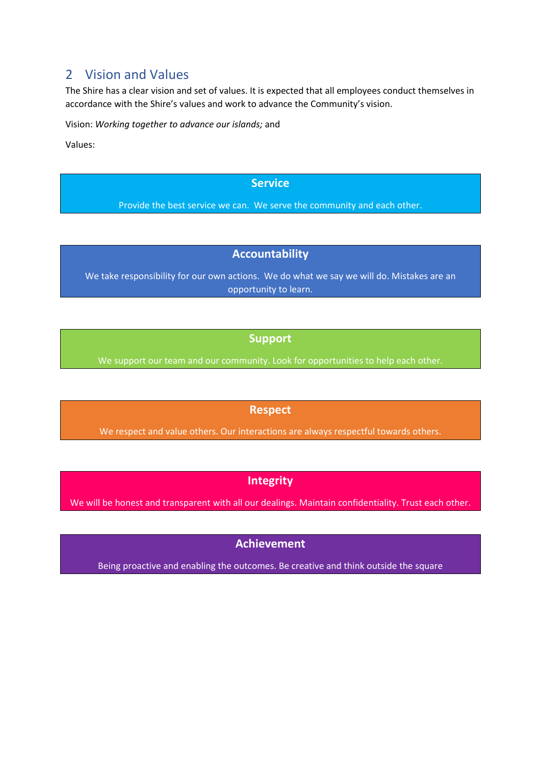## <span id="page-2-0"></span>2 Vision and Values

The Shire has a clear vision and set of values. It is expected that all employees conduct themselves in accordance with the Shire's values and work to advance the Community's vision.

Vision: *Working together to advance our islands;* and

Values:

#### **Service**

Provide the best service we can. We serve the community and each other.

## **Accountability**

We take responsibility for our own actions. We do what we say we will do. Mistakes are an opportunity to learn.

## **Support**

We support our team and our community. Look for opportunities to help each other.

## **Respect**

We respect and value others. Our interactions are always respectful towards others.

## **Integrity**

We will be honest and transparent with all our dealings. Maintain confidentiality. Trust each other.

## **Achievement**

Being proactive and enabling the outcomes. Be creative and think outside the square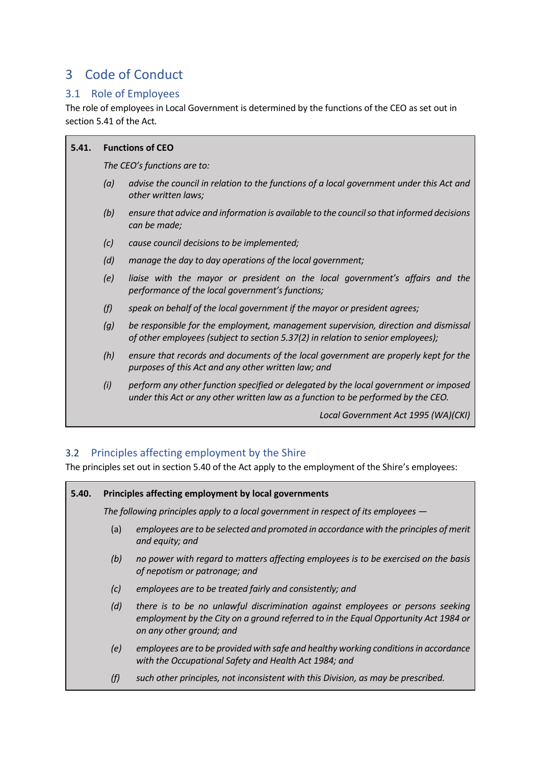## <span id="page-3-0"></span>3 Code of Conduct

## <span id="page-3-1"></span>3.1 Role of Employees

The role of employees in Local Government is determined by the functions of the CEO as set out in section 5.41 of the Act*.*

| 5.41. | <b>Functions of CEO</b>     |                                                                                                                                                                           |  |  |  |
|-------|-----------------------------|---------------------------------------------------------------------------------------------------------------------------------------------------------------------------|--|--|--|
|       | The CEO's functions are to: |                                                                                                                                                                           |  |  |  |
|       | (a)                         | advise the council in relation to the functions of a local government under this Act and<br>other written laws;                                                           |  |  |  |
|       | (b)                         | ensure that advice and information is available to the council so that informed decisions<br>can be made;                                                                 |  |  |  |
|       | (c)                         | cause council decisions to be implemented;                                                                                                                                |  |  |  |
|       | (d)                         | manage the day to day operations of the local government;                                                                                                                 |  |  |  |
|       | (e)                         | liaise with the mayor or president on the local government's affairs and the<br>performance of the local government's functions;                                          |  |  |  |
|       | (f)                         | speak on behalf of the local government if the mayor or president agrees;                                                                                                 |  |  |  |
|       | (g)                         | be responsible for the employment, management supervision, direction and dismissal<br>of other employees (subject to section 5.37(2) in relation to senior employees);    |  |  |  |
|       | (h)                         | ensure that records and documents of the local government are properly kept for the<br>purposes of this Act and any other written law; and                                |  |  |  |
|       | (i)                         | perform any other function specified or delegated by the local government or imposed<br>under this Act or any other written law as a function to be performed by the CEO. |  |  |  |
|       |                             | Local Government Act 1995 (WA)(CKI)                                                                                                                                       |  |  |  |

## <span id="page-3-2"></span>3.2 Principles affecting employment by the Shire

The principles set out in section 5.40 of the Act apply to the employment of the Shire's employees:

| 5.40.                  |                                                                                    | Principles affecting employment by local governments                                                                                                                                              |  |  |  |  |
|------------------------|------------------------------------------------------------------------------------|---------------------------------------------------------------------------------------------------------------------------------------------------------------------------------------------------|--|--|--|--|
|                        | The following principles apply to a local government in respect of its employees — |                                                                                                                                                                                                   |  |  |  |  |
| (a)<br>and equity; and |                                                                                    | employees are to be selected and promoted in accordance with the principles of merit                                                                                                              |  |  |  |  |
|                        | (b)                                                                                | no power with regard to matters affecting employees is to be exercised on the basis<br>of nepotism or patronage; and                                                                              |  |  |  |  |
|                        | (c)                                                                                | employees are to be treated fairly and consistently; and                                                                                                                                          |  |  |  |  |
|                        | (d)                                                                                | there is to be no unlawful discrimination against employees or persons seeking<br>employment by the City on a ground referred to in the Equal Opportunity Act 1984 or<br>on any other ground; and |  |  |  |  |
|                        | (e)                                                                                | employees are to be provided with safe and healthy working conditions in accordance<br>with the Occupational Safety and Health Act 1984; and                                                      |  |  |  |  |
|                        | (f)                                                                                | such other principles, not inconsistent with this Division, as may be prescribed.                                                                                                                 |  |  |  |  |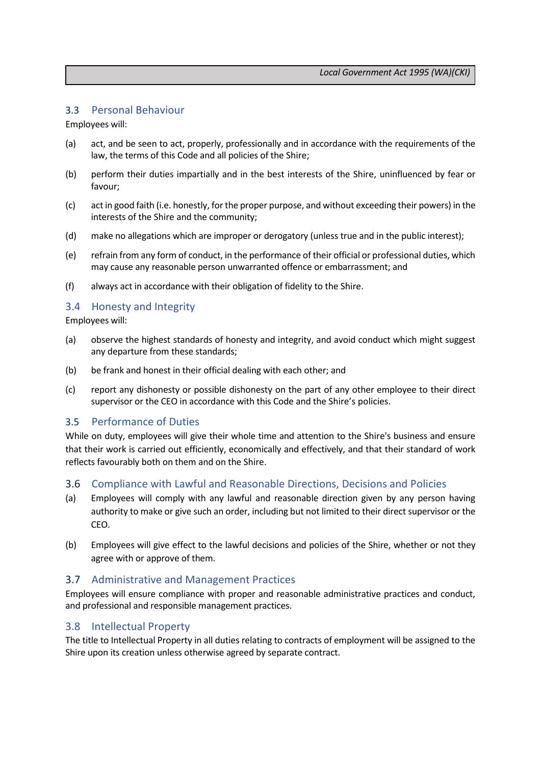#### <span id="page-4-0"></span>3.3 Personal Behaviour

Employees will:

- (a) act, and be seen to act, properly, professionally and in accordance with the requirements of the law, the terms of this Code and all policies of the Shire;
- (b) perform their duties impartially and in the best interests of the Shire, uninfluenced by fear or favour;
- (c) act in good faith (i.e. honestly, for the proper purpose, and without exceeding their powers) in the interests of the Shire and the community;
- (d) make no allegations which are improper or derogatory (unless true and in the public interest);
- (e) refrain from any form of conduct, in the performance of their official or professional duties, which may cause any reasonable person unwarranted offence or embarrassment; and
- (f) always act in accordance with their obligation of fidelity to the Shire.

#### <span id="page-4-1"></span>3.4 Honesty and Integrity

Employees will:

- (a) observe the highest standards of honesty and integrity, and avoid conduct which might suggest any departure from these standards;
- (b) be frank and honest in their official dealing with each other; and
- (c) report any dishonesty or possible dishonesty on the part of any other employee to their direct supervisor or the CEO in accordance with this Code and the Shire's policies.

#### <span id="page-4-2"></span>3.5 Performance of Duties

While on duty, employees will give their whole time and attention to the Shire's business and ensure that their work is carried out efficiently, economically and effectively, and that their standard of work reflects favourably both on them and on the Shire.

#### <span id="page-4-3"></span>3.6 Compliance with Lawful and Reasonable Directions, Decisions and Policies

- (a) Employees will comply with any lawful and reasonable direction given by any person having authority to make or give such an order, including but not limited to their direct supervisor or the CEO.
- (b) Employees will give effect to the lawful decisions and policies of the Shire, whether or not they agree with or approve of them.

#### <span id="page-4-4"></span>3.7 Administrative and Management Practices

Employees will ensure compliance with proper and reasonable administrative practices and conduct, and professional and responsible management practices.

#### <span id="page-4-5"></span>3.8 Intellectual Property

The title to Intellectual Property in all duties relating to contracts of employment will be assigned to the Shire upon its creation unless otherwise agreed by separate contract.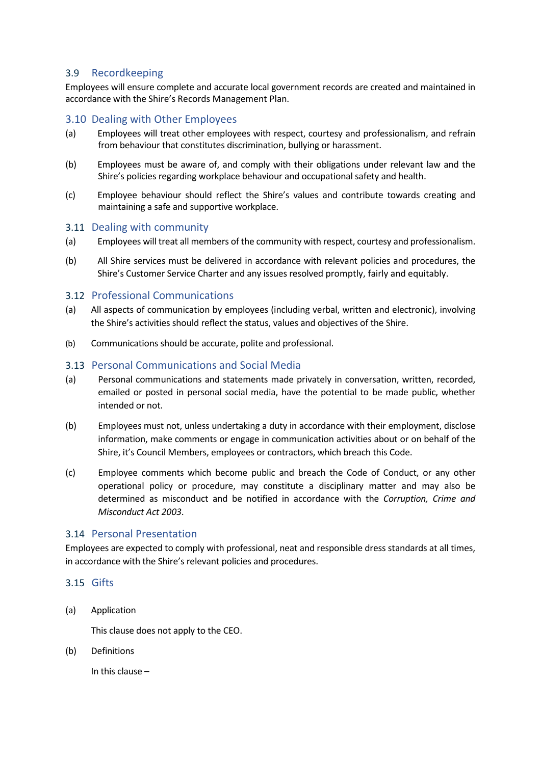#### <span id="page-5-0"></span>3.9 Recordkeeping

Employees will ensure complete and accurate local government records are created and maintained in accordance with the Shire's Records Management Plan.

#### <span id="page-5-1"></span>3.10 Dealing with Other Employees

- (a) Employees will treat other employees with respect, courtesy and professionalism, and refrain from behaviour that constitutes discrimination, bullying or harassment.
- (b) Employees must be aware of, and comply with their obligations under relevant law and the Shire's policies regarding workplace behaviour and occupational safety and health.
- (c) Employee behaviour should reflect the Shire's values and contribute towards creating and maintaining a safe and supportive workplace.

#### <span id="page-5-2"></span>3.11 Dealing with community

- (a) Employees will treat all members of the community with respect, courtesy and professionalism.
- (b) All Shire services must be delivered in accordance with relevant policies and procedures, the Shire's Customer Service Charter and any issues resolved promptly, fairly and equitably.

#### <span id="page-5-3"></span>3.12 Professional Communications

- (a) All aspects of communication by employees (including verbal, written and electronic), involving the Shire's activities should reflect the status, values and objectives of the Shire.
- (b) Communications should be accurate, polite and professional.

#### <span id="page-5-4"></span>3.13 Personal Communications and Social Media

- (a) Personal communications and statements made privately in conversation, written, recorded, emailed or posted in personal social media, have the potential to be made public, whether intended or not.
- (b) Employees must not, unless undertaking a duty in accordance with their employment, disclose information, make comments or engage in communication activities about or on behalf of the Shire, it's Council Members, employees or contractors, which breach this Code.
- (c) Employee comments which become public and breach the Code of Conduct, or any other operational policy or procedure, may constitute a disciplinary matter and may also be determined as misconduct and be notified in accordance with the *Corruption, Crime and Misconduct Act 2003*.

#### <span id="page-5-5"></span>3.14 Personal Presentation

Employees are expected to comply with professional, neat and responsible dress standards at all times, in accordance with the Shire's relevant policies and procedures.

#### <span id="page-5-6"></span>3.15 Gifts

(a) Application

This clause does not apply to the CEO.

(b) Definitions

In this clause –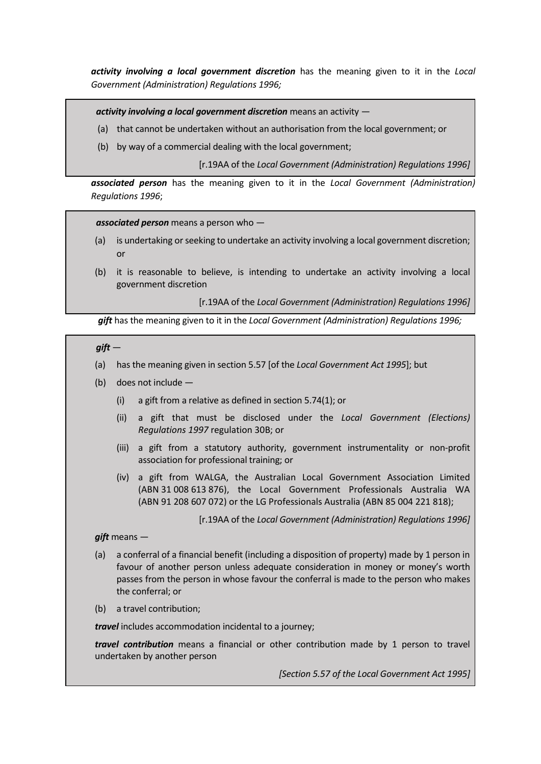*activity involving a local government discretion* has the meaning given to it in the *Local Government (Administration) Regulations 1996;*

*activity involving a local government discretion* means an activity —

- (a) that cannot be undertaken without an authorisation from the local government; or
- (b) by way of a commercial dealing with the local government;

[r.19AA of the *Local Government (Administration) Regulations 1996]*

*associated person* has the meaning given to it in the *Local Government (Administration) Regulations 1996*;

*associated person* means a person who —

- (a) is undertaking or seeking to undertake an activity involving a local government discretion; or
- (b) it is reasonable to believe, is intending to undertake an activity involving a local government discretion

[r.19AA of the *Local Government (Administration) Regulations 1996]*

*gift* has the meaning given to it in the *Local Government (Administration) Regulations 1996;*

*gift* —

- (a) has the meaning given in section 5.57 [of the *Local Government Act 1995*]; but
- (b) does not include
	- (i) a gift from a relative as defined in section 5.74(1); or
	- (ii) a gift that must be disclosed under the *Local Government (Elections) Regulations 1997* regulation 30B; or
	- (iii) a gift from a statutory authority, government instrumentality or non-profit association for professional training; or
	- (iv) a gift from WALGA, the Australian Local Government Association Limited (ABN 31 008 613 876), the Local Government Professionals Australia WA (ABN 91 208 607 072) or the LG Professionals Australia (ABN 85 004 221 818);

[r.19AA of the *Local Government (Administration) Regulations 1996]*

#### *gift* means —

- (a) a conferral of a financial benefit (including a disposition of property) made by 1 person in favour of another person unless adequate consideration in money or money's worth passes from the person in whose favour the conferral is made to the person who makes the conferral; or
- (b) a travel contribution;

*travel* includes accommodation incidental to a journey;

*travel contribution* means a financial or other contribution made by 1 person to travel undertaken by another person

*[Section 5.57 of the Local Government Act 1995]*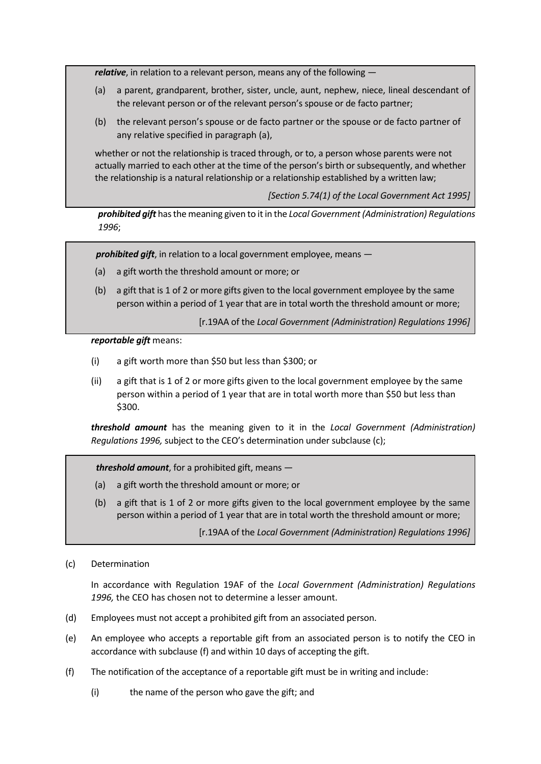*relative*, in relation to a relevant person, means any of the following —

- (a) a parent, grandparent, brother, sister, uncle, aunt, nephew, niece, lineal descendant of the relevant person or of the relevant person's spouse or de facto partner;
- (b) the relevant person's spouse or de facto partner or the spouse or de facto partner of any relative specified in paragraph (a),

whether or not the relationship is traced through, or to, a person whose parents were not actually married to each other at the time of the person's birth or subsequently, and whether the relationship is a natural relationship or a relationship established by a written law;

*[Section 5.74(1) of the Local Government Act 1995]*

*prohibited gift* has the meaning given to it in the *Local Government (Administration) Regulations 1996*;

*prohibited gift*, in relation to a local government employee, means —

- (a) a gift worth the threshold amount or more; or
- (b) a gift that is 1 of 2 or more gifts given to the local government employee by the same person within a period of 1 year that are in total worth the threshold amount or more;

[r.19AA of the *Local Government (Administration) Regulations 1996]*

*reportable gift* means:

- (i) a gift worth more than \$50 but less than \$300; or
- (ii) a gift that is 1 of 2 or more gifts given to the local government employee by the same person within a period of 1 year that are in total worth more than \$50 but less than \$300.

*threshold amount* has the meaning given to it in the *Local Government (Administration) Regulations 1996,* subject to the CEO's determination under subclause (c);

*threshold amount*, for a prohibited gift, means —

- (a) a gift worth the threshold amount or more; or
- (b) a gift that is 1 of 2 or more gifts given to the local government employee by the same person within a period of 1 year that are in total worth the threshold amount or more;

[r.19AA of the *Local Government (Administration) Regulations 1996]*

(c) Determination

In accordance with Regulation 19AF of the *Local Government (Administration) Regulations 1996,* the CEO has chosen not to determine a lesser amount.

- (d) Employees must not accept a prohibited gift from an associated person.
- (e) An employee who accepts a reportable gift from an associated person is to notify the CEO in accordance with subclause (f) and within 10 days of accepting the gift.
- (f) The notification of the acceptance of a reportable gift must be in writing and include:
	- (i) the name of the person who gave the gift; and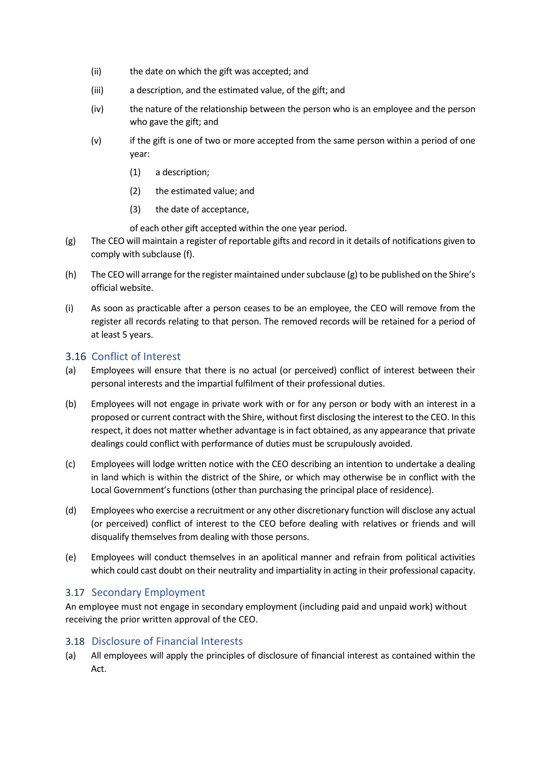- (ii) the date on which the gift was accepted; and
- (iii) a description, and the estimated value, of the gift; and
- (iv) the nature of the relationship between the person who is an employee and the person who gave the gift; and
- (v) if the gift is one of two or more accepted from the same person within a period of one year:
	- (1) a description;
	- (2) the estimated value; and
	- (3) the date of acceptance,

of each other gift accepted within the one year period.

- (g) The CEO will maintain a register of reportable gifts and record in it details of notifications given to comply with subclause (f).
- (h) The CEO will arrange for the register maintained under subclause (g) to be published on the Shire's official website.
- (i) As soon as practicable after a person ceases to be an employee, the CEO will remove from the register all records relating to that person. The removed records will be retained for a period of at least 5 years.

## <span id="page-8-0"></span>3.16 Conflict of Interest

- (a) Employees will ensure that there is no actual (or perceived) conflict of interest between their personal interests and the impartial fulfilment of their professional duties.
- (b) Employees will not engage in private work with or for any person or body with an interest in a proposed or current contract with the Shire, without first disclosing the interest to the CEO. In this respect, it does not matter whether advantage is in fact obtained, as any appearance that private dealings could conflict with performance of duties must be scrupulously avoided.
- (c) Employees will lodge written notice with the CEO describing an intention to undertake a dealing in land which is within the district of the Shire, or which may otherwise be in conflict with the Local Government's functions (other than purchasing the principal place of residence).
- (d) Employees who exercise a recruitment or any other discretionary function will disclose any actual (or perceived) conflict of interest to the CEO before dealing with relatives or friends and will disqualify themselves from dealing with those persons.
- (e) Employees will conduct themselves in an apolitical manner and refrain from political activities which could cast doubt on their neutrality and impartiality in acting in their professional capacity.

## <span id="page-8-1"></span>3.17 Secondary Employment

An employee must not engage in secondary employment (including paid and unpaid work) without receiving the prior written approval of the CEO.

#### <span id="page-8-2"></span>3.18 Disclosure of Financial Interests

(a) All employees will apply the principles of disclosure of financial interest as contained within the Act.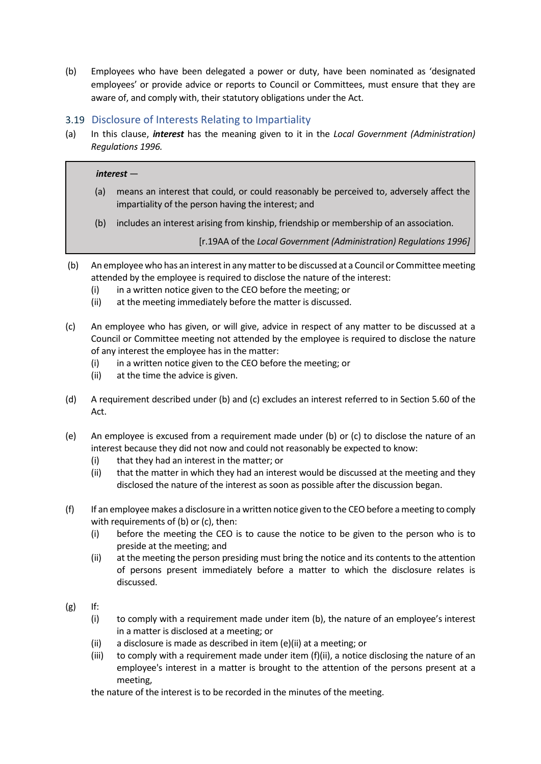(b) Employees who have been delegated a power or duty, have been nominated as 'designated employees' or provide advice or reports to Council or Committees, must ensure that they are aware of, and comply with, their statutory obligations under the Act.

## <span id="page-9-0"></span>3.19 Disclosure of Interests Relating to Impartiality

(a) In this clause, *interest* has the meaning given to it in the *Local Government (Administration) Regulations 1996.*

#### *interest* —

- (a) means an interest that could, or could reasonably be perceived to, adversely affect the impartiality of the person having the interest; and
- (b) includes an interest arising from kinship, friendship or membership of an association.

[r.19AA of the *Local Government (Administration) Regulations 1996]*

- (b) An employee who has an interest in any matter to be discussed at a Council or Committee meeting attended by the employee is required to disclose the nature of the interest:
	- (i) in a written notice given to the CEO before the meeting; or
	- (ii) at the meeting immediately before the matter is discussed.
- (c) An employee who has given, or will give, advice in respect of any matter to be discussed at a Council or Committee meeting not attended by the employee is required to disclose the nature of any interest the employee has in the matter:
	- (i) in a written notice given to the CEO before the meeting; or
	- (ii) at the time the advice is given.
- (d) A requirement described under (b) and (c) excludes an interest referred to in Section 5.60 of the Act.
- (e) An employee is excused from a requirement made under (b) or (c) to disclose the nature of an interest because they did not now and could not reasonably be expected to know:
	- (i) that they had an interest in the matter; or
	- (ii) that the matter in which they had an interest would be discussed at the meeting and they disclosed the nature of the interest as soon as possible after the discussion began.
- (f) If an employee makes a disclosure in a written notice given to the CEO before a meeting to comply with requirements of (b) or (c), then:
	- (i) before the meeting the CEO is to cause the notice to be given to the person who is to preside at the meeting; and
	- (ii) at the meeting the person presiding must bring the notice and its contents to the attention of persons present immediately before a matter to which the disclosure relates is discussed.
- $(g)$  If:
	- (i) to comply with a requirement made under item (b), the nature of an employee's interest in a matter is disclosed at a meeting; or
	- (ii) a disclosure is made as described in item (e)(ii) at a meeting; or
	- (iii) to comply with a requirement made under item  $(f)(ii)$ , a notice disclosing the nature of an employee's interest in a matter is brought to the attention of the persons present at a meeting,

the nature of the interest is to be recorded in the minutes of the meeting.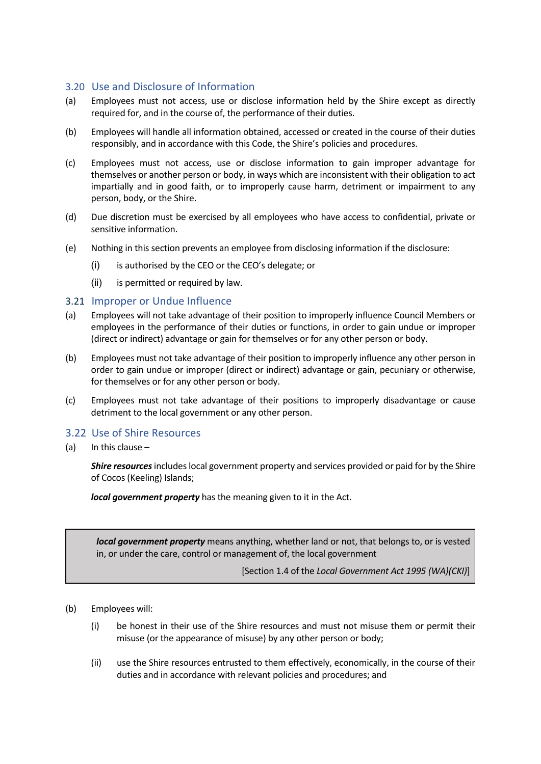## <span id="page-10-0"></span>3.20 Use and Disclosure of Information

- (a) Employees must not access, use or disclose information held by the Shire except as directly required for, and in the course of, the performance of their duties.
- (b) Employees will handle all information obtained, accessed or created in the course of their duties responsibly, and in accordance with this Code, the Shire's policies and procedures.
- (c) Employees must not access, use or disclose information to gain improper advantage for themselves or another person or body, in ways which are inconsistent with their obligation to act impartially and in good faith, or to improperly cause harm, detriment or impairment to any person, body, or the Shire.
- (d) Due discretion must be exercised by all employees who have access to confidential, private or sensitive information.
- (e) Nothing in this section prevents an employee from disclosing information if the disclosure:
	- (i) is authorised by the CEO or the CEO's delegate; or
	- (ii) is permitted or required by law.

#### <span id="page-10-1"></span>3.21 Improper or Undue Influence

- (a) Employees will not take advantage of their position to improperly influence Council Members or employees in the performance of their duties or functions, in order to gain undue or improper (direct or indirect) advantage or gain for themselves or for any other person or body.
- (b) Employees must not take advantage of their position to improperly influence any other person in order to gain undue or improper (direct or indirect) advantage or gain, pecuniary or otherwise, for themselves or for any other person or body.
- (c) Employees must not take advantage of their positions to improperly disadvantage or cause detriment to the local government or any other person.

#### <span id="page-10-2"></span>3.22 Use of Shire Resources

(a) In this clause –

*Shire resources*includes local government property and services provided or paid for by the Shire of Cocos (Keeling) Islands;

*local government property* has the meaning given to it in the Act.

*local government property* means anything, whether land or not, that belongs to, or is vested in, or under the care, control or management of, the local government

[Section 1.4 of the *Local Government Act 1995 (WA)(CKI)*]

- (b) Employees will:
	- (i) be honest in their use of the Shire resources and must not misuse them or permit their misuse (or the appearance of misuse) by any other person or body;
	- (ii) use the Shire resources entrusted to them effectively, economically, in the course of their duties and in accordance with relevant policies and procedures; and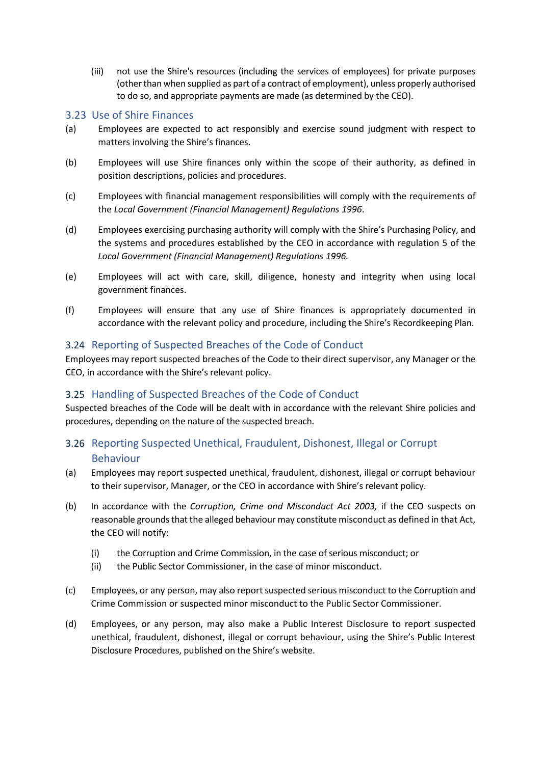(iii) not use the Shire's resources (including the services of employees) for private purposes (other than when supplied as part of a contract of employment), unless properly authorised to do so, and appropriate payments are made (as determined by the CEO).

## <span id="page-11-0"></span>3.23 Use of Shire Finances

- (a) Employees are expected to act responsibly and exercise sound judgment with respect to matters involving the Shire's finances.
- (b) Employees will use Shire finances only within the scope of their authority, as defined in position descriptions, policies and procedures.
- (c) Employees with financial management responsibilities will comply with the requirements of the *Local Government (Financial Management) Regulations 1996*.
- (d) Employees exercising purchasing authority will comply with the Shire's Purchasing Policy, and the systems and procedures established by the CEO in accordance with regulation 5 of the *Local Government (Financial Management) Regulations 1996.*
- (e) Employees will act with care, skill, diligence, honesty and integrity when using local government finances.
- (f) Employees will ensure that any use of Shire finances is appropriately documented in accordance with the relevant policy and procedure, including the Shire's Recordkeeping Plan.

#### <span id="page-11-1"></span>3.24 Reporting of Suspected Breaches of the Code of Conduct

Employees may report suspected breaches of the Code to their direct supervisor, any Manager or the CEO, in accordance with the Shire's relevant policy.

#### <span id="page-11-2"></span>3.25 Handling of Suspected Breaches of the Code of Conduct

Suspected breaches of the Code will be dealt with in accordance with the relevant Shire policies and procedures, depending on the nature of the suspected breach.

## <span id="page-11-3"></span>3.26 Reporting Suspected Unethical, Fraudulent, Dishonest, Illegal or Corrupt Behaviour

- (a) Employees may report suspected unethical, fraudulent, dishonest, illegal or corrupt behaviour to their supervisor, Manager, or the CEO in accordance with Shire's relevant policy.
- (b) In accordance with the *Corruption, Crime and Misconduct Act 2003,* if the CEO suspects on reasonable grounds that the alleged behaviour may constitute misconduct as defined in that Act, the CEO will notify:
	- (i) the Corruption and Crime Commission, in the case of serious misconduct; or
	- (ii) the Public Sector Commissioner, in the case of minor misconduct.
- (c) Employees, or any person, may also report suspected serious misconduct to the Corruption and Crime Commission or suspected minor misconduct to the Public Sector Commissioner.
- (d) Employees, or any person, may also make a Public Interest Disclosure to report suspected unethical, fraudulent, dishonest, illegal or corrupt behaviour, using the Shire's Public Interest Disclosure Procedures, published on the Shire's website.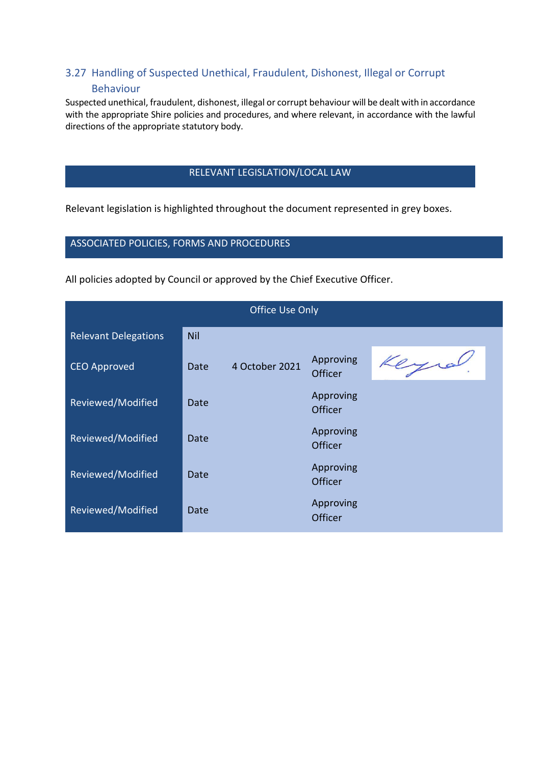## <span id="page-12-0"></span>3.27 Handling of Suspected Unethical, Fraudulent, Dishonest, Illegal or Corrupt Behaviour

Suspected unethical, fraudulent, dishonest, illegal or corrupt behaviour will be dealt with in accordance with the appropriate Shire policies and procedures, and where relevant, in accordance with the lawful directions of the appropriate statutory body.

#### RELEVANT LEGISLATION/LOCAL LAW

Relevant legislation is highlighted throughout the document represented in grey boxes.

#### ASSOCIATED POLICIES, FORMS AND PROCEDURES

All policies adopted by Council or approved by the Chief Executive Officer.

| <b>Office Use Only</b>      |            |                |                      |     |  |
|-----------------------------|------------|----------------|----------------------|-----|--|
| <b>Relevant Delegations</b> | <b>Nil</b> |                |                      |     |  |
| <b>CEO Approved</b>         | Date       | 4 October 2021 | Approving<br>Officer | Key |  |
| Reviewed/Modified           | Date       |                | Approving<br>Officer |     |  |
| Reviewed/Modified           | Date       |                | Approving<br>Officer |     |  |
| Reviewed/Modified           | Date       |                | Approving<br>Officer |     |  |
| Reviewed/Modified           | Date       |                | Approving<br>Officer |     |  |